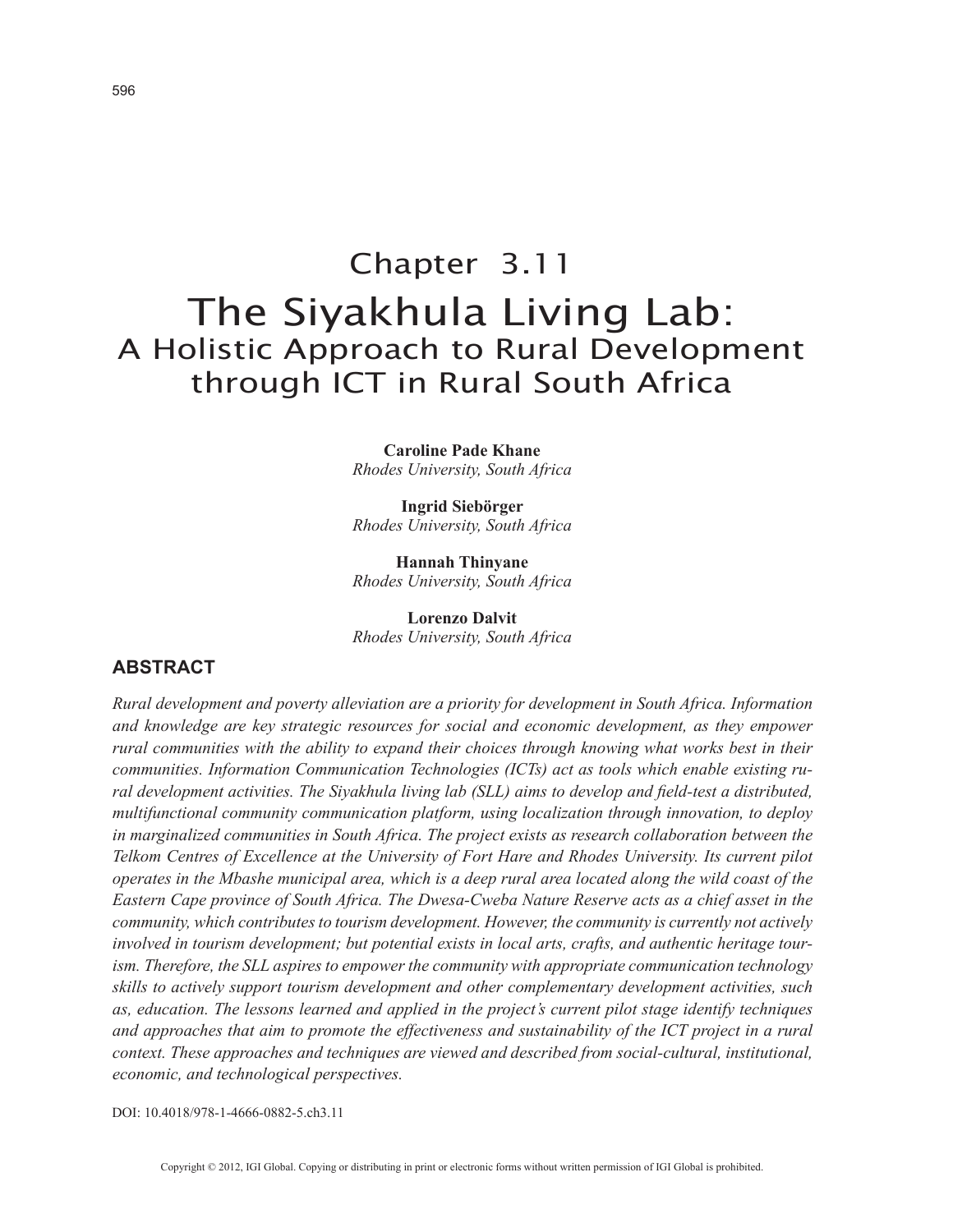# Chapter 3.11 The Siyakhula Living Lab: A Holistic Approach to Rural Development through ICT in Rural South Africa

**Caroline Pade Khane** *Rhodes University, South Africa*

**Ingrid Siebörger** *Rhodes University, South Africa*

**Hannah Thinyane** *Rhodes University, South Africa*

**Lorenzo Dalvit** *Rhodes University, South Africa*

## **ABSTRACT**

*Rural development and poverty alleviation are a priority for development in South Africa. Information and knowledge are key strategic resources for social and economic development, as they empower rural communities with the ability to expand their choices through knowing what works best in their communities. Information Communication Technologies (ICTs) act as tools which enable existing rural development activities. The Siyakhula living lab (SLL) aims to develop and field-test a distributed, multifunctional community communication platform, using localization through innovation, to deploy in marginalized communities in South Africa. The project exists as research collaboration between the Telkom Centres of Excellence at the University of Fort Hare and Rhodes University. Its current pilot operates in the Mbashe municipal area, which is a deep rural area located along the wild coast of the Eastern Cape province of South Africa. The Dwesa-Cweba Nature Reserve acts as a chief asset in the community, which contributes to tourism development. However, the community is currently not actively involved in tourism development; but potential exists in local arts, crafts, and authentic heritage tourism. Therefore, the SLL aspires to empower the community with appropriate communication technology skills to actively support tourism development and other complementary development activities, such as, education. The lessons learned and applied in the project's current pilot stage identify techniques and approaches that aim to promote the effectiveness and sustainability of the ICT project in a rural context. These approaches and techniques are viewed and described from social-cultural, institutional, economic, and technological perspectives.*

DOI: 10.4018/978-1-4666-0882-5.ch3.11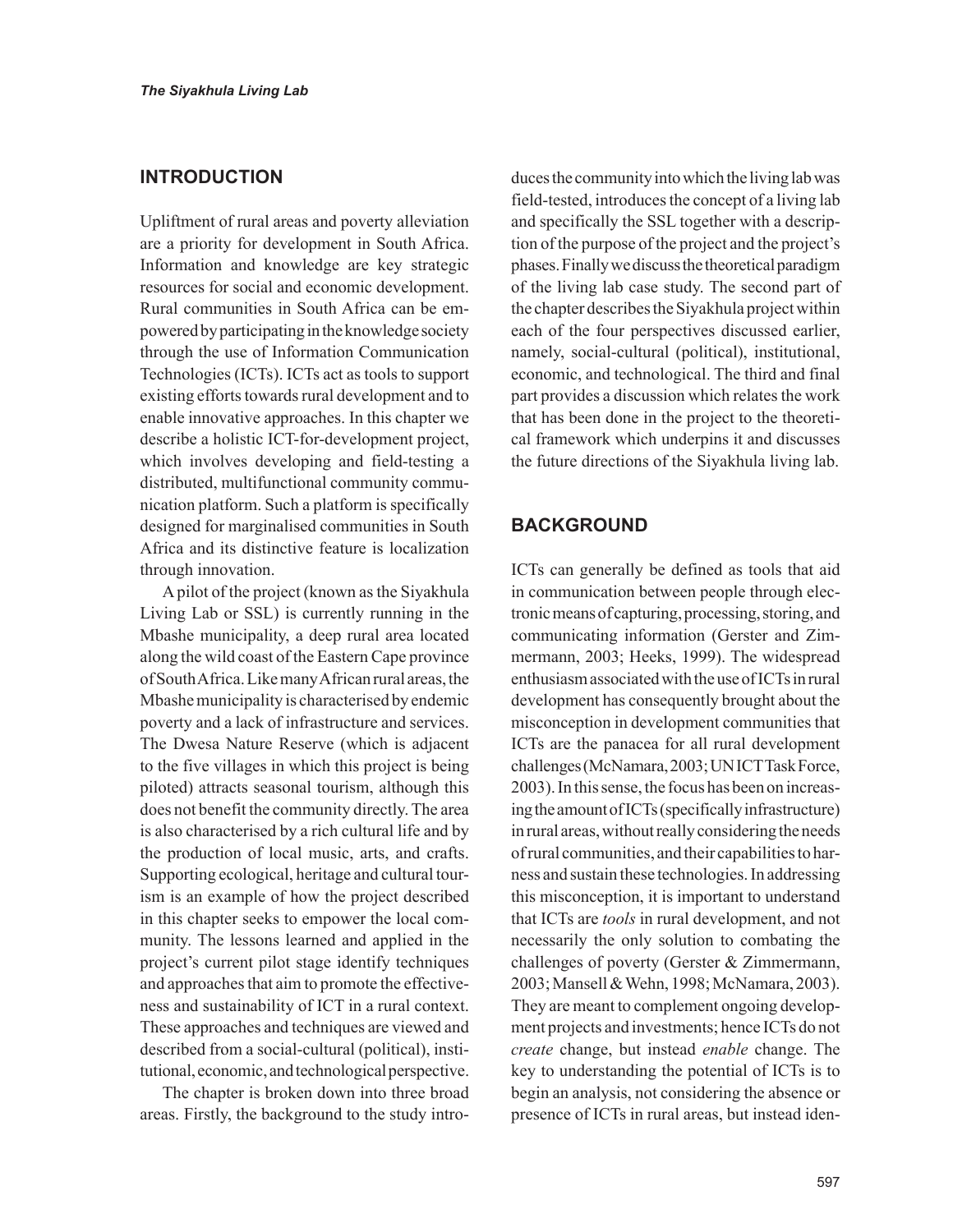## **INTRODUCTION**

Upliftment of rural areas and poverty alleviation are a priority for development in South Africa. Information and knowledge are key strategic resources for social and economic development. Rural communities in South Africa can be empowered by participating in the knowledge society through the use of Information Communication Technologies (ICTs). ICTs act as tools to support existing efforts towards rural development and to enable innovative approaches. In this chapter we describe a holistic ICT-for-development project, which involves developing and field-testing a distributed, multifunctional community communication platform. Such a platform is specifically designed for marginalised communities in South Africa and its distinctive feature is localization through innovation.

A pilot of the project (known as the Siyakhula Living Lab or SSL) is currently running in the Mbashe municipality, a deep rural area located along the wild coast of the Eastern Cape province of South Africa. Like many African rural areas, the Mbashe municipality is characterised by endemic poverty and a lack of infrastructure and services. The Dwesa Nature Reserve (which is adjacent to the five villages in which this project is being piloted) attracts seasonal tourism, although this does not benefit the community directly. The area is also characterised by a rich cultural life and by the production of local music, arts, and crafts. Supporting ecological, heritage and cultural tourism is an example of how the project described in this chapter seeks to empower the local community. The lessons learned and applied in the project's current pilot stage identify techniques and approaches that aim to promote the effectiveness and sustainability of ICT in a rural context. These approaches and techniques are viewed and described from a social-cultural (political), institutional, economic, and technological perspective.

The chapter is broken down into three broad areas. Firstly, the background to the study introduces the community into which the living lab was field-tested, introduces the concept of a living lab and specifically the SSL together with a description of the purpose of the project and the project's phases. Finally we discuss the theoretical paradigm of the living lab case study. The second part of the chapter describes the Siyakhula project within each of the four perspectives discussed earlier, namely, social-cultural (political), institutional, economic, and technological. The third and final part provides a discussion which relates the work that has been done in the project to the theoretical framework which underpins it and discusses the future directions of the Siyakhula living lab.

## **BACKGROUND**

ICTs can generally be defined as tools that aid in communication between people through electronic means of capturing, processing, storing, and communicating information (Gerster and Zimmermann, 2003; Heeks, 1999). The widespread enthusiasm associated with the use of ICTs in rural development has consequently brought about the misconception in development communities that ICTs are the panacea for all rural development challenges (McNamara, 2003; UN ICT Task Force, 2003). In this sense, the focus has been on increasing the amount of ICTs (specifically infrastructure) in rural areas, without really considering the needs of rural communities, and their capabilities to harness and sustain these technologies. In addressing this misconception, it is important to understand that ICTs are *tools* in rural development, and not necessarily the only solution to combating the challenges of poverty (Gerster & Zimmermann, 2003; Mansell & Wehn, 1998; McNamara, 2003). They are meant to complement ongoing development projects and investments; hence ICTs do not *create* change, but instead *enable* change. The key to understanding the potential of ICTs is to begin an analysis, not considering the absence or presence of ICTs in rural areas, but instead iden